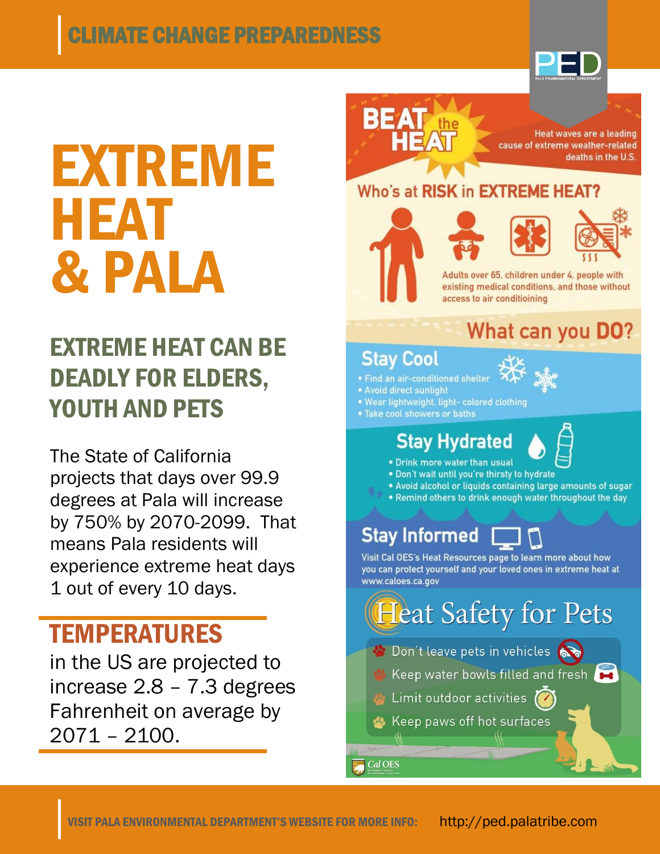# CLIMATE CHANGE PREPAREDNESS



# EXTREME HEAT & PALA

# EXTREME HEAT CAN BE DEADLY FOR ELDERS, YOUTH AND PETS

The State of California projects that days over 99.9 degrees at Pala will increase by 750% by 2070-2099. That means Pala residents will experience extreme heat days 1 out of every 10 days.

# TEMPERATURES

in the US are projected to increase 2.8 – 7.3 degrees Fahrenheit on average by 2071 – 2100.



Heat waves are a leading cause of extreme weather-related deaths in the U.S.

#### Who's at RISK in EXTREME HEAT?







Adults over 65, children under 4, people with existing medical conditions, and those without access to air conditioining

## What can you DO?

#### **Stav Cool**

- · Find an air-conditioned shelter
- · Avoid direct sunlight
- . Wear lightweight, light- colored clothing
- . Take cool showers or baths

## **Stay Hydrated**



- . Drink more water than usual
- . Don't wait until you're thirsty to hydrate
- . Avoid alcohol or liquids containing large amounts of sugar
- . Remind others to drink enough water throughout the day

## **Stay Informed**

Visit Cal OES's Heat Resources page to learn more about how you can protect yourself and your loved ones in extreme heat at www.caloes.ca.gov

**Heat Safety for Pets** Don't leave pets in vehicles Keep water bowls filled and fresh Limit outdoor activities Keep paws off hot surfaces Cal OES